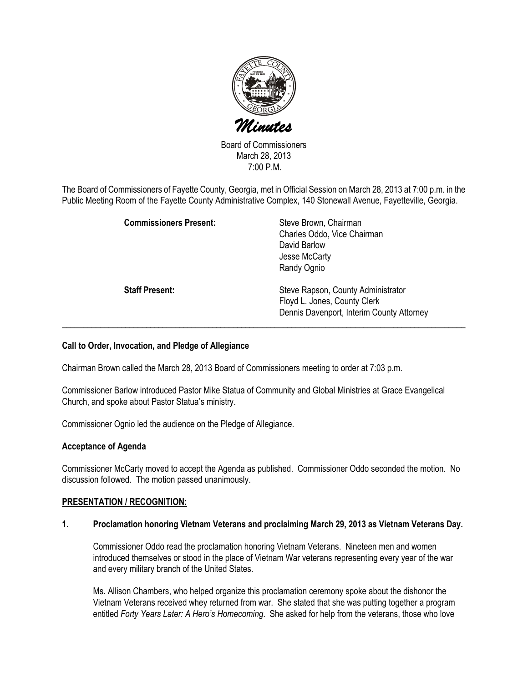

Board of Commissioners March 28, 2013 7:00 P.M.

The Board of Commissioners of Fayette County, Georgia, met in Official Session on March 28, 2013 at 7:00 p.m. in the Public Meeting Room of the Fayette County Administrative Complex, 140 Stonewall Avenue, Fayetteville, Georgia.

| <b>Commissioners Present:</b> | Steve Brown, Chairman<br>Charles Oddo, Vice Chairman<br>David Barlow<br>Jesse McCarty<br>Randy Ognio            |
|-------------------------------|-----------------------------------------------------------------------------------------------------------------|
| <b>Staff Present:</b>         | Steve Rapson, County Administrator<br>Floyd L. Jones, County Clerk<br>Dennis Davenport, Interim County Attorney |

# Call to Order, Invocation, and Pledge of Allegiance

Chairman Brown called the March 28, 2013 Board of Commissioners meeting to order at 7:03 p.m.

Commissioner Barlow introduced Pastor Mike Statua of Community and Global Ministries at Grace Evangelical Church, and spoke about Pastor Statua's ministry.

Commissioner Ognio led the audience on the Pledge of Allegiance.

## Acceptance of Agenda

Commissioner McCarty moved to accept the Agenda as published. Commissioner Oddo seconded the motion. No discussion followed. The motion passed unanimously.

## PRESENTATION / RECOGNITION:

#### 1. Proclamation honoring Vietnam Veterans and proclaiming March 29, 2013 as Vietnam Veterans Day.

Commissioner Oddo read the proclamation honoring Vietnam Veterans. Nineteen men and women introduced themselves or stood in the place of Vietnam War veterans representing every year of the war and every military branch of the United States.

Ms. Allison Chambers, who helped organize this proclamation ceremony spoke about the dishonor the Vietnam Veterans received whey returned from war. She stated that she was putting together a program entitled Forty Years Later: A Hero's Homecoming. She asked for help from the veterans, those who love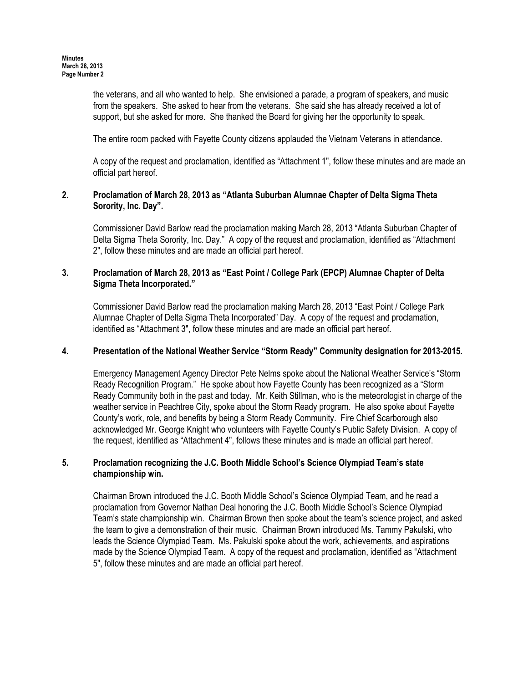the veterans, and all who wanted to help. She envisioned a parade, a program of speakers, and music from the speakers. She asked to hear from the veterans. She said she has already received a lot of support, but she asked for more. She thanked the Board for giving her the opportunity to speak.

The entire room packed with Fayette County citizens applauded the Vietnam Veterans in attendance.

A copy of the request and proclamation, identified as "Attachment 1", follow these minutes and are made an official part hereof.

# 2. Proclamation of March 28, 2013 as "Atlanta Suburban Alumnae Chapter of Delta Sigma Theta Sorority, Inc. Day".

Commissioner David Barlow read the proclamation making March 28, 2013 "Atlanta Suburban Chapter of Delta Sigma Theta Sorority, Inc. Day." A copy of the request and proclamation, identified as "Attachment 2", follow these minutes and are made an official part hereof.

# 3. Proclamation of March 28, 2013 as "East Point / College Park (EPCP) Alumnae Chapter of Delta Sigma Theta Incorporated."

Commissioner David Barlow read the proclamation making March 28, 2013 "East Point / College Park Alumnae Chapter of Delta Sigma Theta Incorporated" Day. A copy of the request and proclamation, identified as "Attachment 3", follow these minutes and are made an official part hereof.

# 4. Presentation of the National Weather Service "Storm Ready" Community designation for 2013-2015.

Emergency Management Agency Director Pete Nelms spoke about the National Weather Service's "Storm Ready Recognition Program." He spoke about how Fayette County has been recognized as a "Storm Ready Community both in the past and today. Mr. Keith Stillman, who is the meteorologist in charge of the weather service in Peachtree City, spoke about the Storm Ready program. He also spoke about Fayette County's work, role, and benefits by being a Storm Ready Community. Fire Chief Scarborough also acknowledged Mr. George Knight who volunteers with Fayette County's Public Safety Division. A copy of the request, identified as "Attachment 4", follows these minutes and is made an official part hereof.

# 5. Proclamation recognizing the J.C. Booth Middle School's Science Olympiad Team's state championship win.

Chairman Brown introduced the J.C. Booth Middle School's Science Olympiad Team, and he read a proclamation from Governor Nathan Deal honoring the J.C. Booth Middle School's Science Olympiad Team's state championship win. Chairman Brown then spoke about the team's science project, and asked the team to give a demonstration of their music. Chairman Brown introduced Ms. Tammy Pakulski, who leads the Science Olympiad Team. Ms. Pakulski spoke about the work, achievements, and aspirations made by the Science Olympiad Team. A copy of the request and proclamation, identified as "Attachment 5", follow these minutes and are made an official part hereof.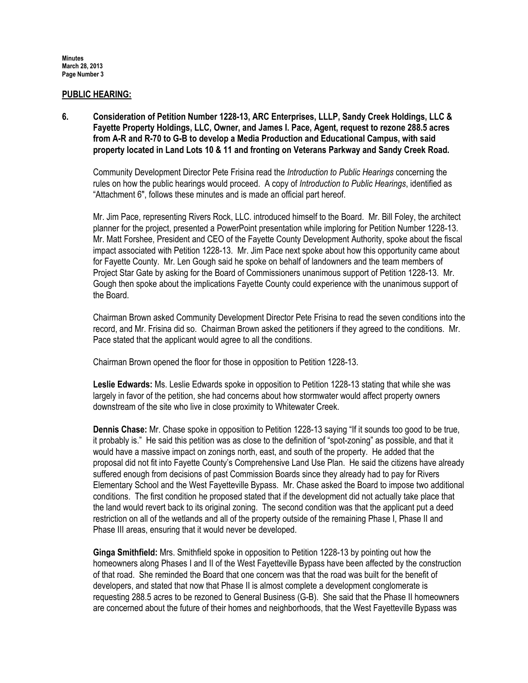#### PUBLIC HEARING:

6. Consideration of Petition Number 1228-13, ARC Enterprises, LLLP, Sandy Creek Holdings, LLC & Fayette Property Holdings, LLC, Owner, and James I. Pace, Agent, request to rezone 288.5 acres from A-R and R-70 to G-B to develop a Media Production and Educational Campus, with said property located in Land Lots 10 & 11 and fronting on Veterans Parkway and Sandy Creek Road.

Community Development Director Pete Frisina read the Introduction to Public Hearings concerning the rules on how the public hearings would proceed. A copy of Introduction to Public Hearings, identified as "Attachment 6", follows these minutes and is made an official part hereof.

Mr. Jim Pace, representing Rivers Rock, LLC. introduced himself to the Board. Mr. Bill Foley, the architect planner for the project, presented a PowerPoint presentation while imploring for Petition Number 1228-13. Mr. Matt Forshee, President and CEO of the Fayette County Development Authority, spoke about the fiscal impact associated with Petition 1228-13. Mr. Jim Pace next spoke about how this opportunity came about for Fayette County. Mr. Len Gough said he spoke on behalf of landowners and the team members of Project Star Gate by asking for the Board of Commissioners unanimous support of Petition 1228-13. Mr. Gough then spoke about the implications Fayette County could experience with the unanimous support of the Board.

Chairman Brown asked Community Development Director Pete Frisina to read the seven conditions into the record, and Mr. Frisina did so. Chairman Brown asked the petitioners if they agreed to the conditions. Mr. Pace stated that the applicant would agree to all the conditions.

Chairman Brown opened the floor for those in opposition to Petition 1228-13.

Leslie Edwards: Ms. Leslie Edwards spoke in opposition to Petition 1228-13 stating that while she was largely in favor of the petition, she had concerns about how stormwater would affect property owners downstream of the site who live in close proximity to Whitewater Creek.

Dennis Chase: Mr. Chase spoke in opposition to Petition 1228-13 saying "If it sounds too good to be true, it probably is." He said this petition was as close to the definition of "spot-zoning" as possible, and that it would have a massive impact on zonings north, east, and south of the property. He added that the proposal did not fit into Fayette County's Comprehensive Land Use Plan. He said the citizens have already suffered enough from decisions of past Commission Boards since they already had to pay for Rivers Elementary School and the West Fayetteville Bypass. Mr. Chase asked the Board to impose two additional conditions. The first condition he proposed stated that if the development did not actually take place that the land would revert back to its original zoning. The second condition was that the applicant put a deed restriction on all of the wetlands and all of the property outside of the remaining Phase I, Phase II and Phase III areas, ensuring that it would never be developed.

Ginga Smithfield: Mrs. Smithfield spoke in opposition to Petition 1228-13 by pointing out how the homeowners along Phases I and II of the West Fayetteville Bypass have been affected by the construction of that road. She reminded the Board that one concern was that the road was built for the benefit of developers, and stated that now that Phase II is almost complete a development conglomerate is requesting 288.5 acres to be rezoned to General Business (G-B). She said that the Phase II homeowners are concerned about the future of their homes and neighborhoods, that the West Fayetteville Bypass was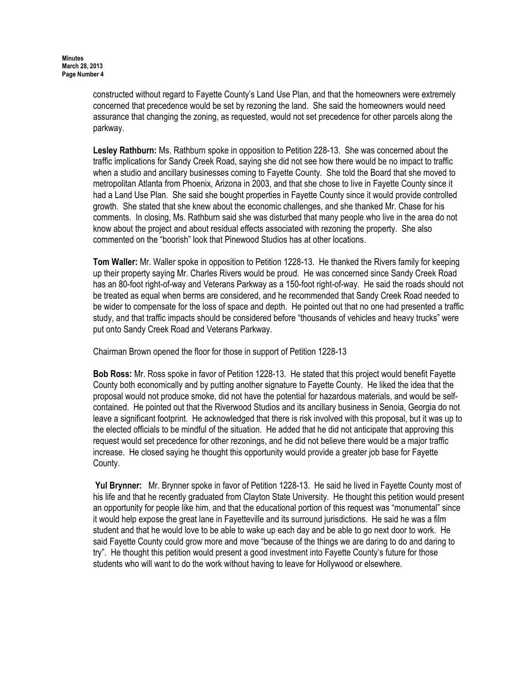constructed without regard to Fayette County's Land Use Plan, and that the homeowners were extremely concerned that precedence would be set by rezoning the land. She said the homeowners would need assurance that changing the zoning, as requested, would not set precedence for other parcels along the parkway.

Lesley Rathburn: Ms. Rathburn spoke in opposition to Petition 228-13. She was concerned about the traffic implications for Sandy Creek Road, saying she did not see how there would be no impact to traffic when a studio and ancillary businesses coming to Fayette County. She told the Board that she moved to metropolitan Atlanta from Phoenix, Arizona in 2003, and that she chose to live in Fayette County since it had a Land Use Plan. She said she bought properties in Fayette County since it would provide controlled growth. She stated that she knew about the economic challenges, and she thanked Mr. Chase for his comments. In closing, Ms. Rathburn said she was disturbed that many people who live in the area do not know about the project and about residual effects associated with rezoning the property. She also commented on the "boorish" look that Pinewood Studios has at other locations.

Tom Waller: Mr. Waller spoke in opposition to Petition 1228-13. He thanked the Rivers family for keeping up their property saying Mr. Charles Rivers would be proud. He was concerned since Sandy Creek Road has an 80-foot right-of-way and Veterans Parkway as a 150-foot right-of-way. He said the roads should not be treated as equal when berms are considered, and he recommended that Sandy Creek Road needed to be wider to compensate for the loss of space and depth. He pointed out that no one had presented a traffic study, and that traffic impacts should be considered before "thousands of vehicles and heavy trucks" were put onto Sandy Creek Road and Veterans Parkway.

Chairman Brown opened the floor for those in support of Petition 1228-13

Bob Ross: Mr. Ross spoke in favor of Petition 1228-13. He stated that this project would benefit Fayette County both economically and by putting another signature to Fayette County. He liked the idea that the proposal would not produce smoke, did not have the potential for hazardous materials, and would be selfcontained. He pointed out that the Riverwood Studios and its ancillary business in Senoia, Georgia do not leave a significant footprint. He acknowledged that there is risk involved with this proposal, but it was up to the elected officials to be mindful of the situation. He added that he did not anticipate that approving this request would set precedence for other rezonings, and he did not believe there would be a major traffic increase. He closed saying he thought this opportunity would provide a greater job base for Fayette County.

Yul Brynner: Mr. Brynner spoke in favor of Petition 1228-13. He said he lived in Fayette County most of his life and that he recently graduated from Clayton State University. He thought this petition would present an opportunity for people like him, and that the educational portion of this request was "monumental" since it would help expose the great lane in Fayetteville and its surround jurisdictions. He said he was a film student and that he would love to be able to wake up each day and be able to go next door to work. He said Fayette County could grow more and move "because of the things we are daring to do and daring to try". He thought this petition would present a good investment into Fayette County's future for those students who will want to do the work without having to leave for Hollywood or elsewhere.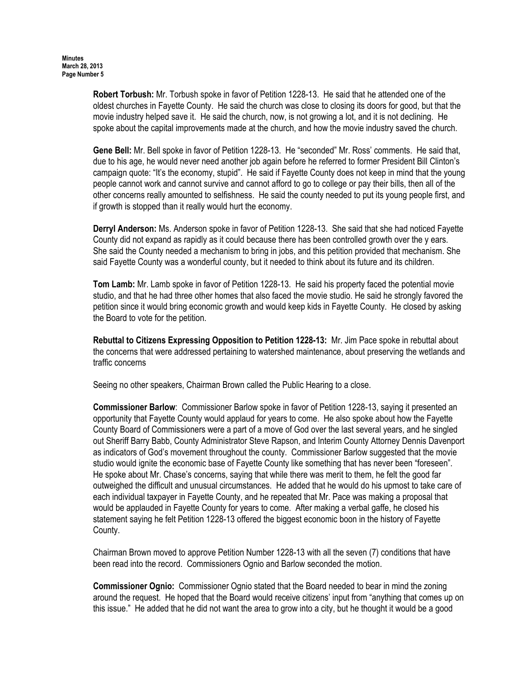Robert Torbush: Mr. Torbush spoke in favor of Petition 1228-13. He said that he attended one of the oldest churches in Fayette County. He said the church was close to closing its doors for good, but that the movie industry helped save it. He said the church, now, is not growing a lot, and it is not declining. He spoke about the capital improvements made at the church, and how the movie industry saved the church.

Gene Bell: Mr. Bell spoke in favor of Petition 1228-13. He "seconded" Mr. Ross' comments. He said that, due to his age, he would never need another job again before he referred to former President Bill Clinton's campaign quote: "It's the economy, stupid". He said if Fayette County does not keep in mind that the young people cannot work and cannot survive and cannot afford to go to college or pay their bills, then all of the other concerns really amounted to selfishness. He said the county needed to put its young people first, and if growth is stopped than it really would hurt the economy.

Derryl Anderson: Ms. Anderson spoke in favor of Petition 1228-13. She said that she had noticed Fayette County did not expand as rapidly as it could because there has been controlled growth over the y ears. She said the County needed a mechanism to bring in jobs, and this petition provided that mechanism. She said Fayette County was a wonderful county, but it needed to think about its future and its children.

Tom Lamb: Mr. Lamb spoke in favor of Petition 1228-13. He said his property faced the potential movie studio, and that he had three other homes that also faced the movie studio. He said he strongly favored the petition since it would bring economic growth and would keep kids in Fayette County. He closed by asking the Board to vote for the petition.

Rebuttal to Citizens Expressing Opposition to Petition 1228-13: Mr. Jim Pace spoke in rebuttal about the concerns that were addressed pertaining to watershed maintenance, about preserving the wetlands and traffic concerns

Seeing no other speakers, Chairman Brown called the Public Hearing to a close.

Commissioner Barlow: Commissioner Barlow spoke in favor of Petition 1228-13, saying it presented an opportunity that Fayette County would applaud for years to come. He also spoke about how the Fayette County Board of Commissioners were a part of a move of God over the last several years, and he singled out Sheriff Barry Babb, County Administrator Steve Rapson, and Interim County Attorney Dennis Davenport as indicators of God's movement throughout the county. Commissioner Barlow suggested that the movie studio would ignite the economic base of Fayette County like something that has never been "foreseen". He spoke about Mr. Chase's concerns, saying that while there was merit to them, he felt the good far outweighed the difficult and unusual circumstances. He added that he would do his upmost to take care of each individual taxpayer in Fayette County, and he repeated that Mr. Pace was making a proposal that would be applauded in Fayette County for years to come. After making a verbal gaffe, he closed his statement saying he felt Petition 1228-13 offered the biggest economic boon in the history of Fayette County.

Chairman Brown moved to approve Petition Number 1228-13 with all the seven (7) conditions that have been read into the record. Commissioners Ognio and Barlow seconded the motion.

Commissioner Ognio: Commissioner Ognio stated that the Board needed to bear in mind the zoning around the request. He hoped that the Board would receive citizens' input from "anything that comes up on this issue." He added that he did not want the area to grow into a city, but he thought it would be a good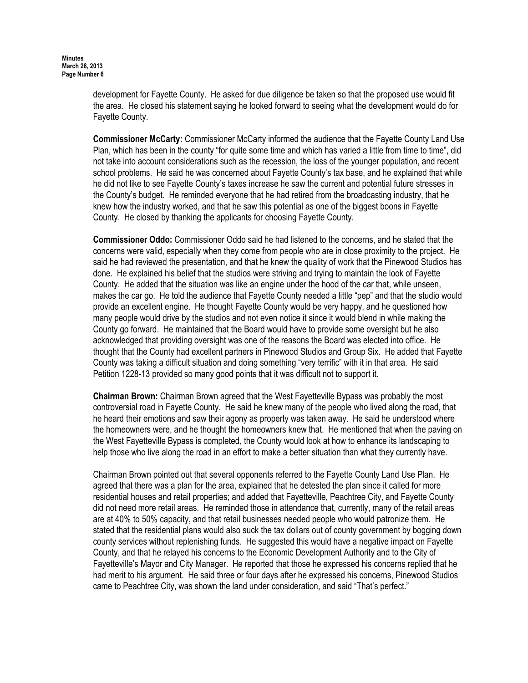development for Fayette County. He asked for due diligence be taken so that the proposed use would fit the area. He closed his statement saying he looked forward to seeing what the development would do for Fayette County.

**Commissioner McCarty:** Commissioner McCarty informed the audience that the Fayette County Land Use Plan, which has been in the county "for quite some time and which has varied a little from time to time", did not take into account considerations such as the recession, the loss of the younger population, and recent school problems. He said he was concerned about Fayette County's tax base, and he explained that while he did not like to see Fayette County's taxes increase he saw the current and potential future stresses in the County's budget. He reminded everyone that he had retired from the broadcasting industry, that he knew how the industry worked, and that he saw this potential as one of the biggest boons in Fayette County. He closed by thanking the applicants for choosing Fayette County.

Commissioner Oddo: Commissioner Oddo said he had listened to the concerns, and he stated that the concerns were valid, especially when they come from people who are in close proximity to the project. He said he had reviewed the presentation, and that he knew the quality of work that the Pinewood Studios has done. He explained his belief that the studios were striving and trying to maintain the look of Fayette County. He added that the situation was like an engine under the hood of the car that, while unseen, makes the car go. He told the audience that Fayette County needed a little "pep" and that the studio would provide an excellent engine. He thought Fayette County would be very happy, and he questioned how many people would drive by the studios and not even notice it since it would blend in while making the County go forward. He maintained that the Board would have to provide some oversight but he also acknowledged that providing oversight was one of the reasons the Board was elected into office. He thought that the County had excellent partners in Pinewood Studios and Group Six. He added that Fayette County was taking a difficult situation and doing something "very terrific" with it in that area. He said Petition 1228-13 provided so many good points that it was difficult not to support it.

Chairman Brown: Chairman Brown agreed that the West Fayetteville Bypass was probably the most controversial road in Fayette County. He said he knew many of the people who lived along the road, that he heard their emotions and saw their agony as property was taken away. He said he understood where the homeowners were, and he thought the homeowners knew that. He mentioned that when the paving on the West Fayetteville Bypass is completed, the County would look at how to enhance its landscaping to help those who live along the road in an effort to make a better situation than what they currently have.

Chairman Brown pointed out that several opponents referred to the Fayette County Land Use Plan. He agreed that there was a plan for the area, explained that he detested the plan since it called for more residential houses and retail properties; and added that Fayetteville, Peachtree City, and Fayette County did not need more retail areas. He reminded those in attendance that, currently, many of the retail areas are at 40% to 50% capacity, and that retail businesses needed people who would patronize them. He stated that the residential plans would also suck the tax dollars out of county government by bogging down county services without replenishing funds. He suggested this would have a negative impact on Fayette County, and that he relayed his concerns to the Economic Development Authority and to the City of Fayetteville's Mayor and City Manager. He reported that those he expressed his concerns replied that he had merit to his argument. He said three or four days after he expressed his concerns, Pinewood Studios came to Peachtree City, was shown the land under consideration, and said "That's perfect."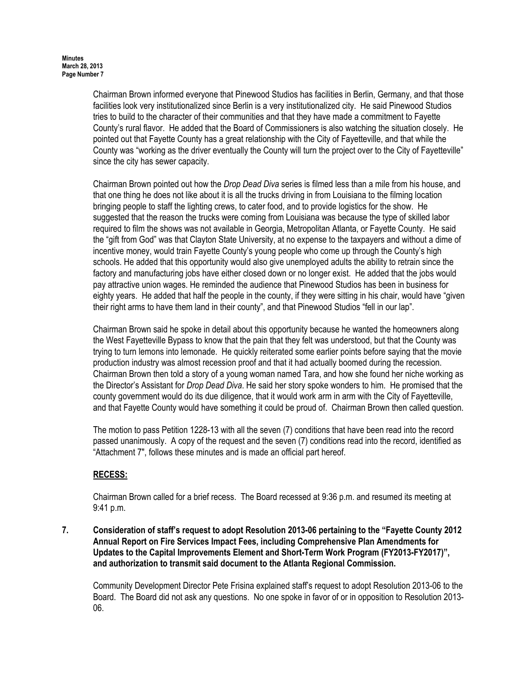Chairman Brown informed everyone that Pinewood Studios has facilities in Berlin, Germany, and that those facilities look very institutionalized since Berlin is a very institutionalized city. He said Pinewood Studios tries to build to the character of their communities and that they have made a commitment to Fayette County's rural flavor. He added that the Board of Commissioners is also watching the situation closely. He pointed out that Fayette County has a great relationship with the City of Fayetteville, and that while the County was "working as the driver eventually the County will turn the project over to the City of Fayetteville" since the city has sewer capacity.

Chairman Brown pointed out how the Drop Dead Diva series is filmed less than a mile from his house, and that one thing he does not like about it is all the trucks driving in from Louisiana to the filming location bringing people to staff the lighting crews, to cater food, and to provide logistics for the show. He suggested that the reason the trucks were coming from Louisiana was because the type of skilled labor required to film the shows was not available in Georgia, Metropolitan Atlanta, or Fayette County. He said the "gift from God" was that Clayton State University, at no expense to the taxpayers and without a dime of incentive money, would train Fayette County's young people who come up through the County's high schools. He added that this opportunity would also give unemployed adults the ability to retrain since the factory and manufacturing jobs have either closed down or no longer exist. He added that the jobs would pay attractive union wages. He reminded the audience that Pinewood Studios has been in business for eighty years. He added that half the people in the county, if they were sitting in his chair, would have "given their right arms to have them land in their county", and that Pinewood Studios "fell in our lap".

Chairman Brown said he spoke in detail about this opportunity because he wanted the homeowners along the West Fayetteville Bypass to know that the pain that they felt was understood, but that the County was trying to turn lemons into lemonade. He quickly reiterated some earlier points before saying that the movie production industry was almost recession proof and that it had actually boomed during the recession. Chairman Brown then told a story of a young woman named Tara, and how she found her niche working as the Director's Assistant for Drop Dead Diva. He said her story spoke wonders to him. He promised that the county government would do its due diligence, that it would work arm in arm with the City of Fayetteville, and that Fayette County would have something it could be proud of. Chairman Brown then called question.

The motion to pass Petition 1228-13 with all the seven (7) conditions that have been read into the record passed unanimously. A copy of the request and the seven (7) conditions read into the record, identified as "Attachment 7", follows these minutes and is made an official part hereof.

# RECESS:

Chairman Brown called for a brief recess. The Board recessed at 9:36 p.m. and resumed its meeting at 9:41 p.m.

7. Consideration of staff's request to adopt Resolution 2013-06 pertaining to the "Fayette County 2012 Annual Report on Fire Services Impact Fees, including Comprehensive Plan Amendments for Updates to the Capital Improvements Element and Short-Term Work Program (FY2013-FY2017)", and authorization to transmit said document to the Atlanta Regional Commission.

Community Development Director Pete Frisina explained staff's request to adopt Resolution 2013-06 to the Board. The Board did not ask any questions. No one spoke in favor of or in opposition to Resolution 2013- 06.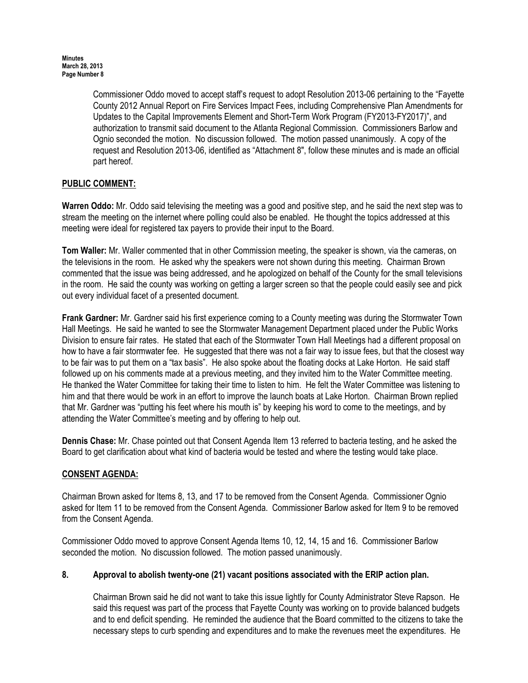Commissioner Oddo moved to accept staff's request to adopt Resolution 2013-06 pertaining to the "Fayette County 2012 Annual Report on Fire Services Impact Fees, including Comprehensive Plan Amendments for Updates to the Capital Improvements Element and Short-Term Work Program (FY2013-FY2017)", and authorization to transmit said document to the Atlanta Regional Commission. Commissioners Barlow and Ognio seconded the motion. No discussion followed. The motion passed unanimously. A copy of the request and Resolution 2013-06, identified as "Attachment 8", follow these minutes and is made an official part hereof.

# PUBLIC COMMENT:

Warren Oddo: Mr. Oddo said televising the meeting was a good and positive step, and he said the next step was to stream the meeting on the internet where polling could also be enabled. He thought the topics addressed at this meeting were ideal for registered tax payers to provide their input to the Board.

Tom Waller: Mr. Waller commented that in other Commission meeting, the speaker is shown, via the cameras, on the televisions in the room. He asked why the speakers were not shown during this meeting. Chairman Brown commented that the issue was being addressed, and he apologized on behalf of the County for the small televisions in the room. He said the county was working on getting a larger screen so that the people could easily see and pick out every individual facet of a presented document.

Frank Gardner: Mr. Gardner said his first experience coming to a County meeting was during the Stormwater Town Hall Meetings. He said he wanted to see the Stormwater Management Department placed under the Public Works Division to ensure fair rates. He stated that each of the Stormwater Town Hall Meetings had a different proposal on how to have a fair stormwater fee. He suggested that there was not a fair way to issue fees, but that the closest way to be fair was to put them on a "tax basis". He also spoke about the floating docks at Lake Horton. He said staff followed up on his comments made at a previous meeting, and they invited him to the Water Committee meeting. He thanked the Water Committee for taking their time to listen to him. He felt the Water Committee was listening to him and that there would be work in an effort to improve the launch boats at Lake Horton. Chairman Brown replied that Mr. Gardner was "putting his feet where his mouth is" by keeping his word to come to the meetings, and by attending the Water Committee's meeting and by offering to help out.

Dennis Chase: Mr. Chase pointed out that Consent Agenda Item 13 referred to bacteria testing, and he asked the Board to get clarification about what kind of bacteria would be tested and where the testing would take place.

# CONSENT AGENDA:

Chairman Brown asked for Items 8, 13, and 17 to be removed from the Consent Agenda. Commissioner Ognio asked for Item 11 to be removed from the Consent Agenda. Commissioner Barlow asked for Item 9 to be removed from the Consent Agenda.

Commissioner Oddo moved to approve Consent Agenda Items 10, 12, 14, 15 and 16. Commissioner Barlow seconded the motion. No discussion followed. The motion passed unanimously.

# 8. Approval to abolish twenty-one (21) vacant positions associated with the ERIP action plan.

Chairman Brown said he did not want to take this issue lightly for County Administrator Steve Rapson. He said this request was part of the process that Fayette County was working on to provide balanced budgets and to end deficit spending. He reminded the audience that the Board committed to the citizens to take the necessary steps to curb spending and expenditures and to make the revenues meet the expenditures. He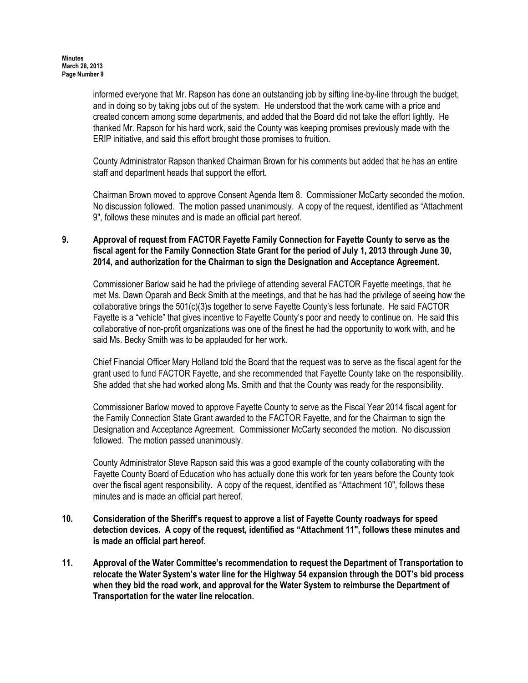informed everyone that Mr. Rapson has done an outstanding job by sifting line-by-line through the budget, and in doing so by taking jobs out of the system. He understood that the work came with a price and created concern among some departments, and added that the Board did not take the effort lightly. He thanked Mr. Rapson for his hard work, said the County was keeping promises previously made with the ERIP initiative, and said this effort brought those promises to fruition.

County Administrator Rapson thanked Chairman Brown for his comments but added that he has an entire staff and department heads that support the effort.

Chairman Brown moved to approve Consent Agenda Item 8. Commissioner McCarty seconded the motion. No discussion followed. The motion passed unanimously. A copy of the request, identified as "Attachment 9", follows these minutes and is made an official part hereof.

# 9. Approval of request from FACTOR Fayette Family Connection for Fayette County to serve as the fiscal agent for the Family Connection State Grant for the period of July 1, 2013 through June 30, 2014, and authorization for the Chairman to sign the Designation and Acceptance Agreement.

Commissioner Barlow said he had the privilege of attending several FACTOR Fayette meetings, that he met Ms. Dawn Oparah and Beck Smith at the meetings, and that he has had the privilege of seeing how the collaborative brings the 501(c)(3)s together to serve Fayette County's less fortunate. He said FACTOR Fayette is a "vehicle" that gives incentive to Fayette County's poor and needy to continue on. He said this collaborative of non-profit organizations was one of the finest he had the opportunity to work with, and he said Ms. Becky Smith was to be applauded for her work.

Chief Financial Officer Mary Holland told the Board that the request was to serve as the fiscal agent for the grant used to fund FACTOR Fayette, and she recommended that Fayette County take on the responsibility. She added that she had worked along Ms. Smith and that the County was ready for the responsibility.

Commissioner Barlow moved to approve Fayette County to serve as the Fiscal Year 2014 fiscal agent for the Family Connection State Grant awarded to the FACTOR Fayette, and for the Chairman to sign the Designation and Acceptance Agreement. Commissioner McCarty seconded the motion. No discussion followed. The motion passed unanimously.

County Administrator Steve Rapson said this was a good example of the county collaborating with the Fayette County Board of Education who has actually done this work for ten years before the County took over the fiscal agent responsibility. A copy of the request, identified as "Attachment 10", follows these minutes and is made an official part hereof.

- 10. Consideration of the Sheriff's request to approve a list of Fayette County roadways for speed detection devices. A copy of the request, identified as "Attachment 11", follows these minutes and is made an official part hereof.
- 11. Approval of the Water Committee's recommendation to request the Department of Transportation to relocate the Water System's water line for the Highway 54 expansion through the DOT's bid process when they bid the road work, and approval for the Water System to reimburse the Department of Transportation for the water line relocation.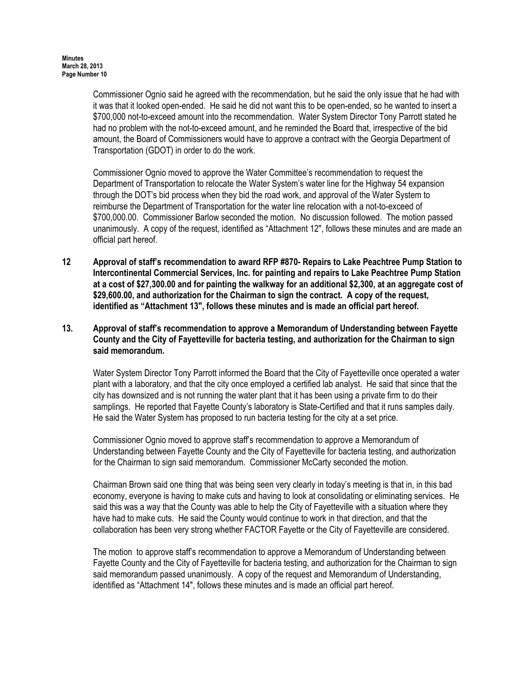Commissioner Ognio said he agreed with the recommendation, but he said the only issue that he had with it was that it looked open-ended. He said he did not want this to be open-ended, so he wanted to insert a \$700,000 not-to-exceed amount into the recommendation. Water System Director Tony Parrott stated he had no problem with the not-to-exceed amount, and he reminded the Board that, irrespective of the bid amount, the Board of Commissioners would have to approve a contract with the Georgia Department of Transportation (GDOT) in order to do the work.

Commissioner Ognio moved to approve the Water Committee's recommendation to request the Department of Transportation to relocate the Water System's water line for the Highway 54 expansion through the DOT's bid process when they bid the road work, and approval of the Water System to reimburse the Department of Transportation for the water line relocation with a not-to-exceed of \$700,000.00. Commissioner Barlow seconded the motion. No discussion followed. The motion passed unanimously. A copy of the request, identified as "Attachment 12", follows these minutes and are made an official part hereof.

- 12 Approval of staff's recommendation to award RFP #870- Repairs to Lake Peachtree Pump Station to Intercontinental Commercial Services, Inc. for painting and repairs to Lake Peachtree Pump Station at a cost of \$27,300.00 and for painting the walkway for an additional \$2,300, at an aggregate cost of \$29,600.00, and authorization for the Chairman to sign the contract. A copy of the request, identified as "Attachment 13", follows these minutes and is made an official part hereof.
- 13. Approval of staff's recommendation to approve a Memorandum of Understanding between Fayette County and the City of Fayetteville for bacteria testing, and authorization for the Chairman to sign said memorandum.

Water System Director Tony Parrott informed the Board that the City of Fayetteville once operated a water plant with a laboratory, and that the city once employed a certified lab analyst. He said that since that the city has downsized and is not running the water plant that it has been using a private firm to do their samplings. He reported that Fayette County's laboratory is State-Certified and that it runs samples daily. He said the Water System has proposed to run bacteria testing for the city at a set price.

Commissioner Ognio moved to approve staff's recommendation to approve a Memorandum of Understanding between Fayette County and the City of Fayetteville for bacteria testing, and authorization for the Chairman to sign said memorandum. Commissioner McCarty seconded the motion.

Chairman Brown said one thing that was being seen very clearly in today's meeting is that in, in this bad economy, everyone is having to make cuts and having to look at consolidating or eliminating services. He said this was a way that the County was able to help the City of Fayetteville with a situation where they have had to make cuts. He said the County would continue to work in that direction, and that the collaboration has been very strong whether FACTOR Fayette or the City of Fayetteville are considered.

The motion to approve staff's recommendation to approve a Memorandum of Understanding between Fayette County and the City of Fayetteville for bacteria testing, and authorization for the Chairman to sign said memorandum passed unanimously. A copy of the request and Memorandum of Understanding, identified as "Attachment 14", follows these minutes and is made an official part hereof.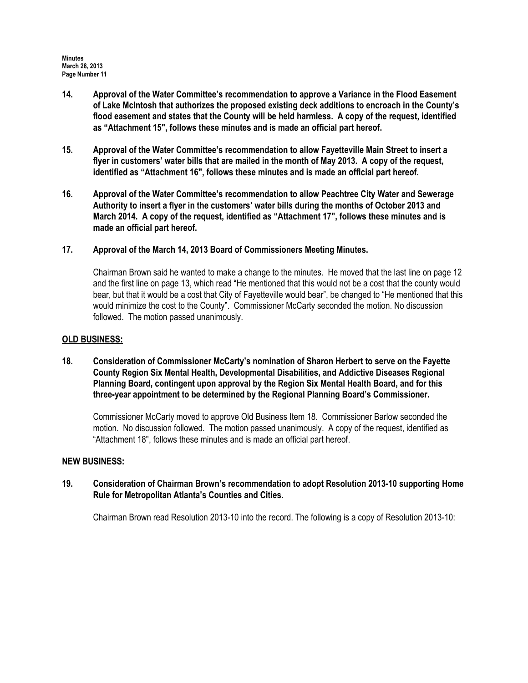- 14. Approval of the Water Committee's recommendation to approve a Variance in the Flood Easement of Lake McIntosh that authorizes the proposed existing deck additions to encroach in the County's flood easement and states that the County will be held harmless. A copy of the request, identified as "Attachment 15", follows these minutes and is made an official part hereof.
- 15. Approval of the Water Committee's recommendation to allow Fayetteville Main Street to insert a flyer in customers' water bills that are mailed in the month of May 2013. A copy of the request, identified as "Attachment 16", follows these minutes and is made an official part hereof.
- 16. Approval of the Water Committee's recommendation to allow Peachtree City Water and Sewerage Authority to insert a flyer in the customers' water bills during the months of October 2013 and March 2014. A copy of the request, identified as "Attachment 17", follows these minutes and is made an official part hereof.
- 17. Approval of the March 14, 2013 Board of Commissioners Meeting Minutes.

Chairman Brown said he wanted to make a change to the minutes. He moved that the last line on page 12 and the first line on page 13, which read "He mentioned that this would not be a cost that the county would bear, but that it would be a cost that City of Fayetteville would bear", be changed to "He mentioned that this would minimize the cost to the County". Commissioner McCarty seconded the motion. No discussion followed. The motion passed unanimously.

# OLD BUSINESS:

18. Consideration of Commissioner McCarty's nomination of Sharon Herbert to serve on the Fayette County Region Six Mental Health, Developmental Disabilities, and Addictive Diseases Regional Planning Board, contingent upon approval by the Region Six Mental Health Board, and for this three-year appointment to be determined by the Regional Planning Board's Commissioner.

Commissioner McCarty moved to approve Old Business Item 18. Commissioner Barlow seconded the motion. No discussion followed. The motion passed unanimously. A copy of the request, identified as "Attachment 18", follows these minutes and is made an official part hereof.

## NEW BUSINESS:

# 19. Consideration of Chairman Brown's recommendation to adopt Resolution 2013-10 supporting Home Rule for Metropolitan Atlanta's Counties and Cities.

Chairman Brown read Resolution 2013-10 into the record. The following is a copy of Resolution 2013-10: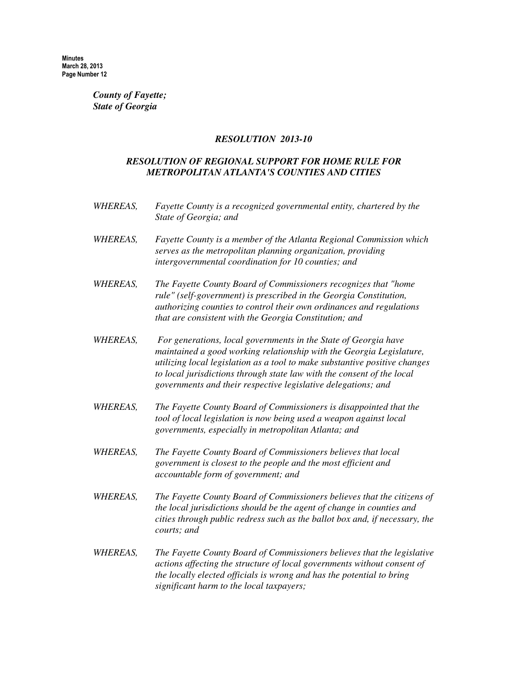### *County of Fayette; State of Georgia*

### *RESOLUTION 2013-10*

# *RESOLUTION OF REGIONAL SUPPORT FOR HOME RULE FOR METROPOLITAN ATLANTA'S COUNTIES AND CITIES*

- *WHEREAS, Fayette County is a recognized governmental entity, chartered by the State of Georgia; and*
- *WHEREAS, Fayette County is a member of the Atlanta Regional Commission which serves as the metropolitan planning organization, providing intergovernmental coordination for 10 counties; and*
- *WHEREAS, The Fayette County Board of Commissioners recognizes that "home rule" (self-government) is prescribed in the Georgia Constitution, authorizing counties to control their own ordinances and regulations that are consistent with the Georgia Constitution; and*
- *WHEREAS, For generations, local governments in the State of Georgia have maintained a good working relationship with the Georgia Legislature, utilizing local legislation as a tool to make substantive positive changes to local jurisdictions through state law with the consent of the local governments and their respective legislative delegations; and*
- *WHEREAS, The Fayette County Board of Commissioners is disappointed that the tool of local legislation is now being used a weapon against local governments, especially in metropolitan Atlanta; and*
- *WHEREAS, The Fayette County Board of Commissioners believes that local government is closest to the people and the most efficient and accountable form of government; and*
- *WHEREAS, The Fayette County Board of Commissioners believes that the citizens of the local jurisdictions should be the agent of change in counties and cities through public redress such as the ballot box and, if necessary, the courts; and*
- *WHEREAS, The Fayette County Board of Commissioners believes that the legislative actions affecting the structure of local governments without consent of the locally elected officials is wrong and has the potential to bring significant harm to the local taxpayers;*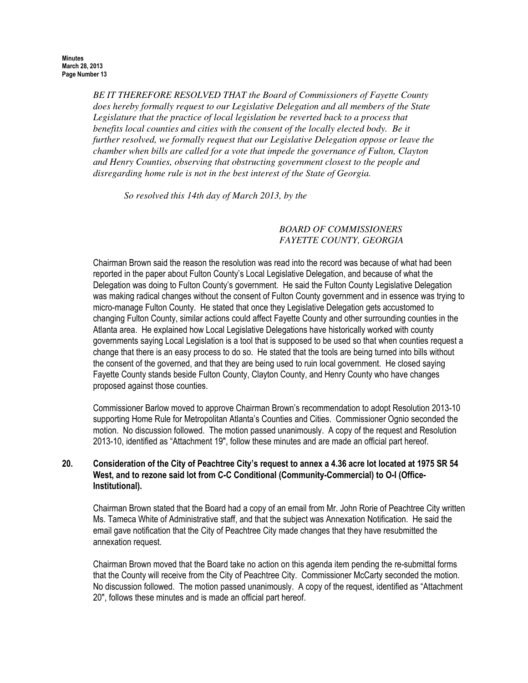*BE IT THEREFORE RESOLVED THAT the Board of Commissioners of Fayette County does hereby formally request to our Legislative Delegation and all members of the State Legislature that the practice of local legislation be reverted back to a process that benefits local counties and cities with the consent of the locally elected body. Be it further resolved, we formally request that our Legislative Delegation oppose or leave the chamber when bills are called for a vote that impede the governance of Fulton, Clayton and Henry Counties, observing that obstructing government closest to the people and disregarding home rule is not in the best interest of the State of Georgia.* 

*So resolved this 14th day of March 2013, by the*

# *BOARD OF COMMISSIONERS FAYETTE COUNTY, GEORGIA*

Chairman Brown said the reason the resolution was read into the record was because of what had been reported in the paper about Fulton County's Local Legislative Delegation, and because of what the Delegation was doing to Fulton County's government. He said the Fulton County Legislative Delegation was making radical changes without the consent of Fulton County government and in essence was trying to micro-manage Fulton County. He stated that once they Legislative Delegation gets accustomed to changing Fulton County, similar actions could affect Fayette County and other surrounding counties in the Atlanta area. He explained how Local Legislative Delegations have historically worked with county governments saying Local Legislation is a tool that is supposed to be used so that when counties request a change that there is an easy process to do so. He stated that the tools are being turned into bills without the consent of the governed, and that they are being used to ruin local government. He closed saying Fayette County stands beside Fulton County, Clayton County, and Henry County who have changes proposed against those counties.

Commissioner Barlow moved to approve Chairman Brown's recommendation to adopt Resolution 2013-10 supporting Home Rule for Metropolitan Atlanta's Counties and Cities. Commissioner Ognio seconded the motion. No discussion followed. The motion passed unanimously. A copy of the request and Resolution 2013-10, identified as "Attachment 19", follow these minutes and are made an official part hereof.

# 20. Consideration of the City of Peachtree City's request to annex a 4.36 acre lot located at 1975 SR 54 West, and to rezone said lot from C-C Conditional (Community-Commercial) to O-I (Office-Institutional).

Chairman Brown stated that the Board had a copy of an email from Mr. John Rorie of Peachtree City written Ms. Tameca White of Administrative staff, and that the subject was Annexation Notification. He said the email gave notification that the City of Peachtree City made changes that they have resubmitted the annexation request.

Chairman Brown moved that the Board take no action on this agenda item pending the re-submittal forms that the County will receive from the City of Peachtree City. Commissioner McCarty seconded the motion. No discussion followed. The motion passed unanimously. A copy of the request, identified as "Attachment 20", follows these minutes and is made an official part hereof.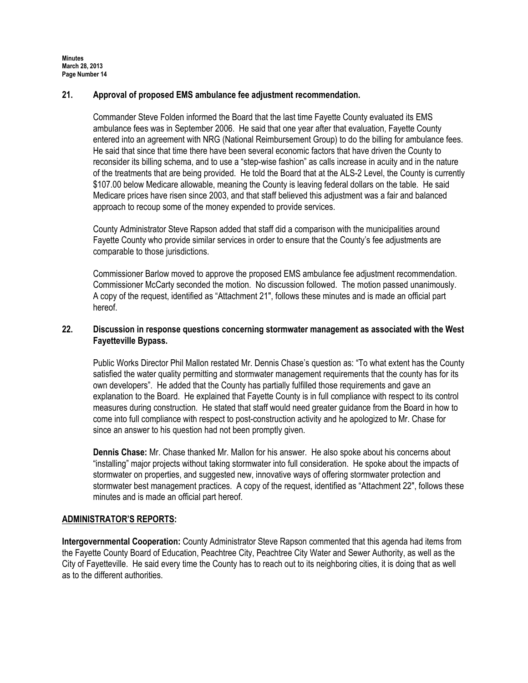# 21. Approval of proposed EMS ambulance fee adjustment recommendation.

Commander Steve Folden informed the Board that the last time Fayette County evaluated its EMS ambulance fees was in September 2006. He said that one year after that evaluation, Fayette County entered into an agreement with NRG (National Reimbursement Group) to do the billing for ambulance fees. He said that since that time there have been several economic factors that have driven the County to reconsider its billing schema, and to use a "step-wise fashion" as calls increase in acuity and in the nature of the treatments that are being provided. He told the Board that at the ALS-2 Level, the County is currently \$107.00 below Medicare allowable, meaning the County is leaving federal dollars on the table. He said Medicare prices have risen since 2003, and that staff believed this adjustment was a fair and balanced approach to recoup some of the money expended to provide services.

County Administrator Steve Rapson added that staff did a comparison with the municipalities around Fayette County who provide similar services in order to ensure that the County's fee adjustments are comparable to those jurisdictions.

Commissioner Barlow moved to approve the proposed EMS ambulance fee adjustment recommendation. Commissioner McCarty seconded the motion. No discussion followed. The motion passed unanimously. A copy of the request, identified as "Attachment 21", follows these minutes and is made an official part hereof.

# 22. Discussion in response questions concerning stormwater management as associated with the West Fayetteville Bypass.

Public Works Director Phil Mallon restated Mr. Dennis Chase's question as: "To what extent has the County satisfied the water quality permitting and stormwater management requirements that the county has for its own developers". He added that the County has partially fulfilled those requirements and gave an explanation to the Board. He explained that Fayette County is in full compliance with respect to its control measures during construction. He stated that staff would need greater guidance from the Board in how to come into full compliance with respect to post-construction activity and he apologized to Mr. Chase for since an answer to his question had not been promptly given.

Dennis Chase: Mr. Chase thanked Mr. Mallon for his answer. He also spoke about his concerns about "installing" major projects without taking stormwater into full consideration. He spoke about the impacts of stormwater on properties, and suggested new, innovative ways of offering stormwater protection and stormwater best management practices. A copy of the request, identified as "Attachment 22", follows these minutes and is made an official part hereof.

## ADMINISTRATOR'S REPORTS:

Intergovernmental Cooperation: County Administrator Steve Rapson commented that this agenda had items from the Fayette County Board of Education, Peachtree City, Peachtree City Water and Sewer Authority, as well as the City of Fayetteville. He said every time the County has to reach out to its neighboring cities, it is doing that as well as to the different authorities.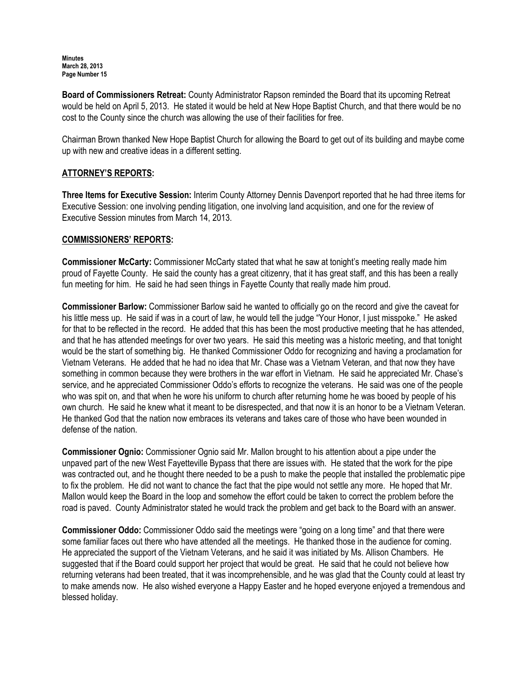Board of Commissioners Retreat: County Administrator Rapson reminded the Board that its upcoming Retreat would be held on April 5, 2013. He stated it would be held at New Hope Baptist Church, and that there would be no cost to the County since the church was allowing the use of their facilities for free.

Chairman Brown thanked New Hope Baptist Church for allowing the Board to get out of its building and maybe come up with new and creative ideas in a different setting.

# ATTORNEY'S REPORTS:

Three Items for Executive Session: Interim County Attorney Dennis Davenport reported that he had three items for Executive Session: one involving pending litigation, one involving land acquisition, and one for the review of Executive Session minutes from March 14, 2013.

# COMMISSIONERS' REPORTS:

Commissioner McCarty: Commissioner McCarty stated that what he saw at tonight's meeting really made him proud of Fayette County. He said the county has a great citizenry, that it has great staff, and this has been a really fun meeting for him. He said he had seen things in Fayette County that really made him proud.

Commissioner Barlow: Commissioner Barlow said he wanted to officially go on the record and give the caveat for his little mess up. He said if was in a court of law, he would tell the judge "Your Honor, I just misspoke." He asked for that to be reflected in the record. He added that this has been the most productive meeting that he has attended, and that he has attended meetings for over two years. He said this meeting was a historic meeting, and that tonight would be the start of something big. He thanked Commissioner Oddo for recognizing and having a proclamation for Vietnam Veterans. He added that he had no idea that Mr. Chase was a Vietnam Veteran, and that now they have something in common because they were brothers in the war effort in Vietnam. He said he appreciated Mr. Chase's service, and he appreciated Commissioner Oddo's efforts to recognize the veterans. He said was one of the people who was spit on, and that when he wore his uniform to church after returning home he was booed by people of his own church. He said he knew what it meant to be disrespected, and that now it is an honor to be a Vietnam Veteran. He thanked God that the nation now embraces its veterans and takes care of those who have been wounded in defense of the nation.

Commissioner Ognio: Commissioner Ognio said Mr. Mallon brought to his attention about a pipe under the unpaved part of the new West Fayetteville Bypass that there are issues with. He stated that the work for the pipe was contracted out, and he thought there needed to be a push to make the people that installed the problematic pipe to fix the problem. He did not want to chance the fact that the pipe would not settle any more. He hoped that Mr. Mallon would keep the Board in the loop and somehow the effort could be taken to correct the problem before the road is paved. County Administrator stated he would track the problem and get back to the Board with an answer.

Commissioner Oddo: Commissioner Oddo said the meetings were "going on a long time" and that there were some familiar faces out there who have attended all the meetings. He thanked those in the audience for coming. He appreciated the support of the Vietnam Veterans, and he said it was initiated by Ms. Allison Chambers. He suggested that if the Board could support her project that would be great. He said that he could not believe how returning veterans had been treated, that it was incomprehensible, and he was glad that the County could at least try to make amends now. He also wished everyone a Happy Easter and he hoped everyone enjoyed a tremendous and blessed holiday.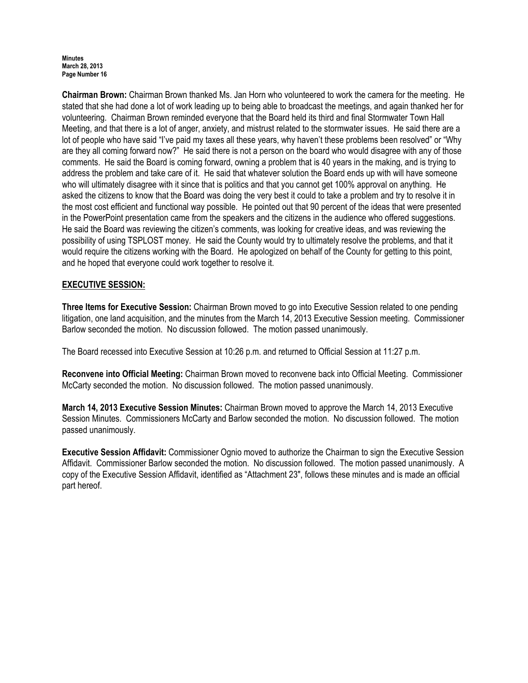Chairman Brown: Chairman Brown thanked Ms. Jan Horn who volunteered to work the camera for the meeting. He stated that she had done a lot of work leading up to being able to broadcast the meetings, and again thanked her for volunteering. Chairman Brown reminded everyone that the Board held its third and final Stormwater Town Hall Meeting, and that there is a lot of anger, anxiety, and mistrust related to the stormwater issues. He said there are a lot of people who have said "I've paid my taxes all these years, why haven't these problems been resolved" or "Why are they all coming forward now?" He said there is not a person on the board who would disagree with any of those comments. He said the Board is coming forward, owning a problem that is 40 years in the making, and is trying to address the problem and take care of it. He said that whatever solution the Board ends up with will have someone who will ultimately disagree with it since that is politics and that you cannot get 100% approval on anything. He asked the citizens to know that the Board was doing the very best it could to take a problem and try to resolve it in the most cost efficient and functional way possible. He pointed out that 90 percent of the ideas that were presented in the PowerPoint presentation came from the speakers and the citizens in the audience who offered suggestions. He said the Board was reviewing the citizen's comments, was looking for creative ideas, and was reviewing the possibility of using TSPLOST money. He said the County would try to ultimately resolve the problems, and that it would require the citizens working with the Board. He apologized on behalf of the County for getting to this point, and he hoped that everyone could work together to resolve it.

# EXECUTIVE SESSION:

Three Items for Executive Session: Chairman Brown moved to go into Executive Session related to one pending litigation, one land acquisition, and the minutes from the March 14, 2013 Executive Session meeting. Commissioner Barlow seconded the motion. No discussion followed. The motion passed unanimously.

The Board recessed into Executive Session at 10:26 p.m. and returned to Official Session at 11:27 p.m.

Reconvene into Official Meeting: Chairman Brown moved to reconvene back into Official Meeting. Commissioner McCarty seconded the motion. No discussion followed. The motion passed unanimously.

March 14, 2013 Executive Session Minutes: Chairman Brown moved to approve the March 14, 2013 Executive Session Minutes. Commissioners McCarty and Barlow seconded the motion. No discussion followed. The motion passed unanimously.

Executive Session Affidavit: Commissioner Ognio moved to authorize the Chairman to sign the Executive Session Affidavit. Commissioner Barlow seconded the motion. No discussion followed. The motion passed unanimously. A copy of the Executive Session Affidavit, identified as "Attachment 23", follows these minutes and is made an official part hereof.